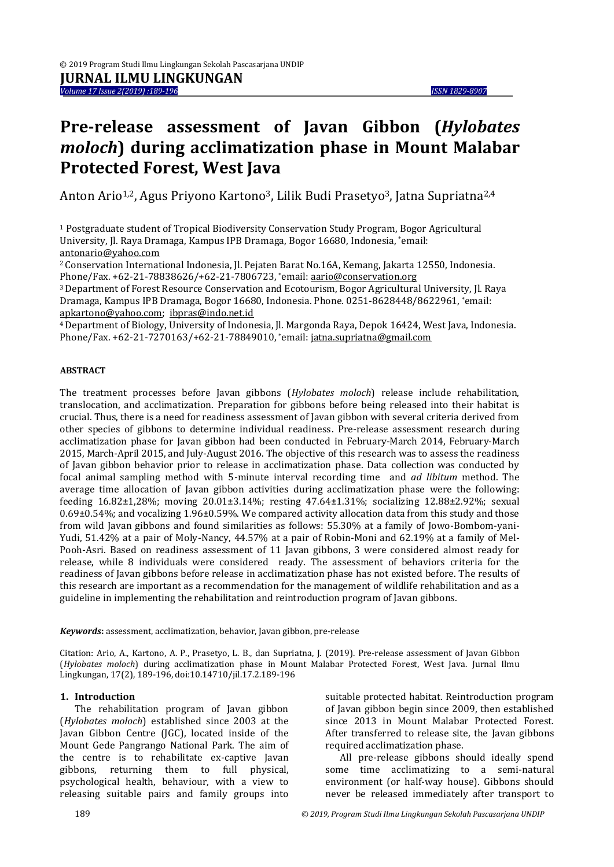# **Pre-release assessment of Javan Gibbon (***Hylobates moloch***) during acclimatization phase in Mount Malabar Protected Forest, West Java**

Anton Ario<sup>1,2</sup>, Agus Priyono Kartono<sup>3</sup>, Lilik Budi Prasetyo<sup>3</sup>, Jatna Supriatna<sup>2,4</sup>

<sup>1</sup> Postgraduate student of Tropical Biodiversity Conservation Study Program, Bogor Agricultural University, Jl. Raya Dramaga, Kampus IPB Dramaga, Bogor 16680, Indonesia, \*email: [antonario@yahoo.com](mailto:antonario@yahoo.com)

<sup>2</sup>Conservation International Indonesia, Jl. Pejaten Barat No.16A, Kemang, Jakarta 12550, Indonesia. Phone/Fax. +62-21-78838626/+62-21-7806723, \*email[: aario@conservation.org](mailto:aario@conservation.org)

<sup>3</sup>Department of Forest Resource Conservation and Ecotourism, Bogor Agricultural University, Jl. Raya Dramaga, Kampus IPB Dramaga, Bogor 16680, Indonesia. Phone. 0251-8628448/8622961, \*email: [apkartono@yahoo.com;](mailto:apkartono@yahoo.com) [ibpras@indo.net.id](mailto:ibpras@indo.net.id)

<sup>4</sup>Department of Biology, University of Indonesia, Jl. Margonda Raya, Depok 16424, West Java, Indonesia. Phone/Fax. +62-21-7270163/+62-21-78849010, \*email[: jatna.supriatna@gmail.com](mailto:jatna.supriatna@gmail.com)

#### **ABSTRACT**

The treatment processes before Javan gibbons (*Hylobates moloch*) release include rehabilitation, translocation, and acclimatization. Preparation for gibbons before being released into their habitat is crucial. Thus, there is a need for readiness assessment of Javan gibbon with several criteria derived from other species of gibbons to determine individual readiness. Pre-release assessment research during acclimatization phase for Javan gibbon had been conducted in February-March 2014, February-March 2015, March-April 2015, and July-August 2016. The objective of this research was to assess the readiness of Javan gibbon behavior prior to release in acclimatization phase. Data collection was conducted by focal animal sampling method with 5-minute interval recording time and *ad libitum* method. The average time allocation of Javan gibbon activities during acclimatization phase were the following: feeding 16.82±1,28%; moving 20.01±3.14%; resting 47.64±1.31%; socializing 12.88±2.92%; sexual 0.69±0.54%; and vocalizing 1.96±0.59%. We compared activity allocation data from this study and those from wild Javan gibbons and found similarities as follows: 55.30% at a family of Jowo-Bombom-yani-Yudi, 51.42% at a pair of Moly-Nancy, 44.57% at a pair of Robin-Moni and 62.19% at a family of Mel-Pooh-Asri. Based on readiness assessment of 11 Javan gibbons, 3 were considered almost ready for release, while 8 individuals were considered ready. The assessment of behaviors criteria for the readiness of Javan gibbons before release in acclimatization phase has not existed before. The results of this research are important as a recommendation for the management of wildlife rehabilitation and as a guideline in implementing the rehabilitation and reintroduction program of Javan gibbons.

*Keywords***:** assessment, acclimatization, behavior, Javan gibbon, pre-release

Citation: Ario, A., Kartono, A. P., Prasetyo, L. B., dan Supriatna, J. (2019). Pre-release assessment of Javan Gibbon (*Hylobates moloch*) during acclimatization phase in Mount Malabar Protected Forest, West Java. Jurnal Ilmu Lingkungan, 17(2), 189-196, doi:10.14710/jil.17.2.189-196

#### **1. Introduction**

The rehabilitation program of Javan gibbon (*Hylobates moloch*) established since 2003 at the Javan Gibbon Centre (JGC), located inside of the Mount Gede Pangrango National Park. The aim of the centre is to rehabilitate ex-captive Javan gibbons, returning them to full physical, psychological health, behaviour, with a view to releasing suitable pairs and family groups into suitable protected habitat. Reintroduction program of Javan gibbon begin since 2009, then established since 2013 in Mount Malabar Protected Forest. After transferred to release site, the Javan gibbons required acclimatization phase.

All pre-release gibbons should ideally spend some time acclimatizing to a semi-natural environment (or half-way house). Gibbons should never be released immediately after transport to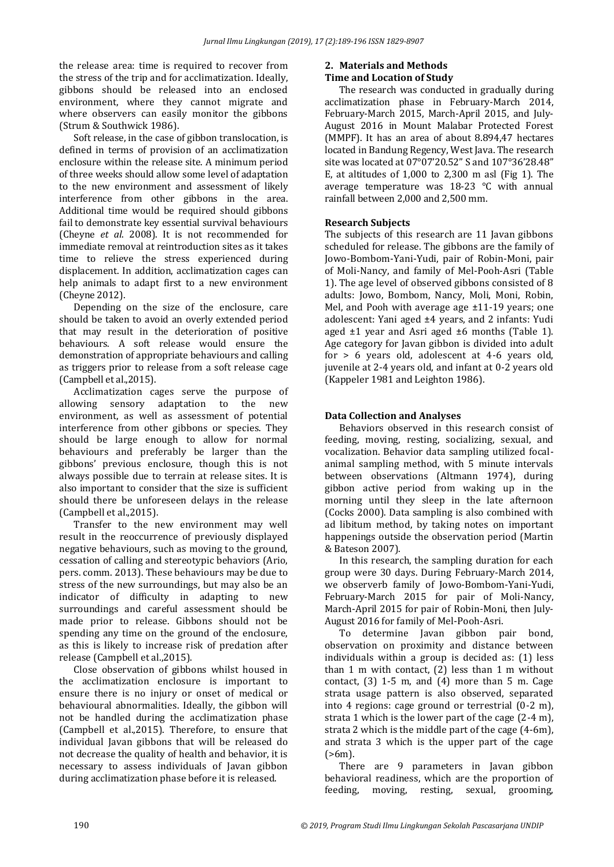the release area: time is required to recover from the stress of the trip and for acclimatization. Ideally, gibbons should be released into an enclosed environment, where they cannot migrate and where observers can easily monitor the gibbons (Strum & Southwick 1986).

Soft release, in the case of gibbon translocation, is defined in terms of provision of an acclimatization enclosure within the release site. A minimum period of three weeks should allow some level of adaptation to the new environment and assessment of likely interference from other gibbons in the area. Additional time would be required should gibbons fail to demonstrate key essential survival behaviours (Cheyne *et al*. 2008). It is not recommended for immediate removal at reintroduction sites as it takes time to relieve the stress experienced during displacement. In addition, acclimatization cages can help animals to adapt first to a new environment (Cheyne 2012).

Depending on the size of the enclosure, care should be taken to avoid an overly extended period that may result in the deterioration of positive behaviours. A soft release would ensure the demonstration of appropriate behaviours and calling as triggers prior to release from a soft release cage (Campbell et al.,2015).

Acclimatization cages serve the purpose of allowing sensory adaptation to the new environment, as well as assessment of potential interference from other gibbons or species. They should be large enough to allow for normal behaviours and preferably be larger than the gibbons' previous enclosure, though this is not always possible due to terrain at release sites. It is also important to consider that the size is sufficient should there be unforeseen delays in the release (Campbell et al.,2015).

Transfer to the new environment may well result in the reoccurrence of previously displayed negative behaviours, such as moving to the ground, cessation of calling and stereotypic behaviors (Ario, pers. comm. 2013). These behaviours may be due to stress of the new surroundings, but may also be an indicator of difficulty in adapting to new surroundings and careful assessment should be made prior to release. Gibbons should not be spending any time on the ground of the enclosure, as this is likely to increase risk of predation after release (Campbell et al.,2015).

Close observation of gibbons whilst housed in the acclimatization enclosure is important to ensure there is no injury or onset of medical or behavioural abnormalities. Ideally, the gibbon will not be handled during the acclimatization phase (Campbell et al.,2015). Therefore, to ensure that individual Javan gibbons that will be released do not decrease the quality of health and behavior, it is necessary to assess individuals of Javan gibbon during acclimatization phase before it is released.

# **2. Materials and Methods**

## **Time and Location of Study**

The research was conducted in gradually during acclimatization phase in February-March 2014, February-March 2015, March-April 2015, and July-August 2016 in Mount Malabar Protected Forest (MMPF). It has an area of about 8.894,47 hectares located in Bandung Regency, West Java. The research site was located at 07°07'20.52" S and 107°36'28.48" E, at altitudes of 1,000 to 2,300 m asl (Fig 1). The average temperature was 18-23 °C with annual rainfall between 2,000 and 2,500 mm.

### **Research Subjects**

The subjects of this research are 11 Javan gibbons scheduled for release. The gibbons are the family of Jowo-Bombom-Yani-Yudi, pair of Robin-Moni, pair of Moli-Nancy, and family of Mel-Pooh-Asri (Table 1). The age level of observed gibbons consisted of 8 adults: Jowo, Bombom, Nancy, Moli, Moni, Robin, Mel, and Pooh with average age ±11-19 years; one adolescent: Yani aged ±4 years, and 2 infants: Yudi aged ±1 year and Asri aged ±6 months (Table 1). Age category for Javan gibbon is divided into adult for > 6 years old, adolescent at 4-6 years old, juvenile at 2-4 years old, and infant at 0-2 years old (Kappeler 1981 and Leighton 1986).

#### **Data Collection and Analyses**

Behaviors observed in this research consist of feeding, moving, resting, socializing, sexual, and vocalization. Behavior data sampling utilized focalanimal sampling method, with 5 minute intervals between observations (Altmann 1974), during gibbon active period from waking up in the morning until they sleep in the late afternoon (Cocks 2000). Data sampling is also combined with ad libitum method, by taking notes on important happenings outside the observation period (Martin & Bateson 2007).

In this research, the sampling duration for each group were 30 days. During February-March 2014, we observerb family of Jowo-Bombom-Yani-Yudi, February-March 2015 for pair of Moli-Nancy, March-April 2015 for pair of Robin-Moni, then July-August 2016 for family of Mel-Pooh-Asri.

To determine Javan gibbon pair bond, observation on proximity and distance between individuals within a group is decided as: (1) less than 1 m with contact, (2) less than 1 m without contact,  $(3)$  1-5 m, and  $(4)$  more than 5 m. Cage strata usage pattern is also observed, separated into 4 regions: cage ground or terrestrial (0-2 m), strata 1 which is the lower part of the cage (2-4 m), strata 2 which is the middle part of the cage (4-6m), and strata 3 which is the upper part of the cage  $(>6m)$ .

There are 9 parameters in Javan gibbon behavioral readiness, which are the proportion of feeding, moving, resting, sexual, grooming,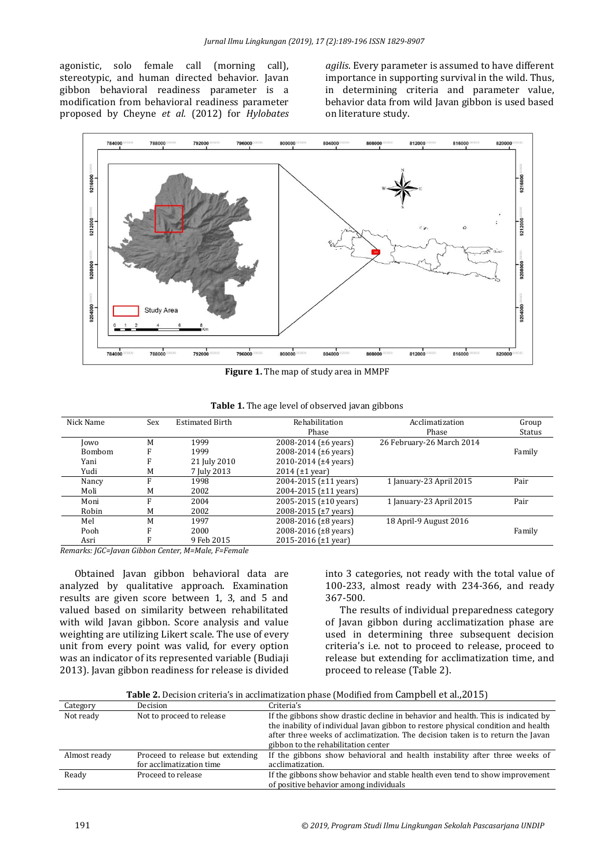agonistic, solo female call (morning call), stereotypic, and human directed behavior. Javan gibbon behavioral readiness parameter is a modification from behavioral readiness parameter proposed by Cheyne *et al.* (2012) for *Hylobates*  *agilis*. Every parameter is assumed to have different importance in supporting survival in the wild. Thus, in determining criteria and parameter value, behavior data from wild Javan gibbon is used based on literature study.



**Figure 1.** The map of study area in MMPF

| Nick Name     | Sex | <b>Estimated Birth</b> | Rehabilitation              | Acclimatization           | Group  |
|---------------|-----|------------------------|-----------------------------|---------------------------|--------|
|               |     |                        | Phase                       | Phase                     | Status |
| Jowo          | M   | 1999                   | 2008-2014 (±6 years)        | 26 February-26 March 2014 |        |
| <b>Bombom</b> | F   | 1999                   | 2008-2014 (±6 years)        |                           | Family |
| Yani          |     | 21 July 2010           | 2010-2014 ( $\pm$ 4 years)  |                           |        |
| Yudi          | M   | 7 July 2013            | 2014 $(\pm 1 \text{ year})$ |                           |        |
| Nancy         |     | 1998                   | 2004-2015 (±11 years)       | 1 January-23 April 2015   | Pair   |
| Moli          | M   | 2002                   | 2004-2015 (±11 years)       |                           |        |
| Moni          | E   | 2004                   | 2005-2015 (±10 years)       | 1 January-23 April 2015   | Pair   |
| Robin         | M   | 2002                   | 2008-2015 (±7 years)        |                           |        |
| Mel           | M   | 1997                   | 2008-2016 (±8 years)        | 18 April-9 August 2016    |        |
| Pooh          | F   | 2000                   | 2008-2016 (±8 years)        |                           | Family |
| Asri          |     | 9 Feb 2015             | 2015-2016 (±1 year)         |                           |        |

|  | Table 1. The age level of observed javan gibbons |
|--|--------------------------------------------------|
|--|--------------------------------------------------|

*Remarks: JGC=Javan Gibbon Center, M=Male, F=Female*

Obtained Javan gibbon behavioral data are analyzed by qualitative approach. Examination results are given score between 1, 3, and 5 and valued based on similarity between rehabilitated with wild Javan gibbon. Score analysis and value weighting are utilizing Likert scale. The use of every unit from every point was valid, for every option was an indicator of its represented variable (Budiaji 2013). Javan gibbon readiness for release is divided into 3 categories, not ready with the total value of 100-233, almost ready with 234-366, and ready 367-500.

The results of individual preparedness category of Javan gibbon during acclimatization phase are used in determining three subsequent decision criteria's i.e. not to proceed to release, proceed to release but extending for acclimatization time, and proceed to release (Table 2).

| <b>Table 2.</b> Decision criteria's in acclimatization phase (Modified from Campbell et al., 2015) |  |  |  |  |
|----------------------------------------------------------------------------------------------------|--|--|--|--|
|----------------------------------------------------------------------------------------------------|--|--|--|--|

| Category     | Decision                                                     | Criteria's                                                                                                                                                                                                                                                                                      |
|--------------|--------------------------------------------------------------|-------------------------------------------------------------------------------------------------------------------------------------------------------------------------------------------------------------------------------------------------------------------------------------------------|
| Not ready    | Not to proceed to release                                    | If the gibbons show drastic decline in behavior and health. This is indicated by<br>the inability of individual Javan gibbon to restore physical condition and health<br>after three weeks of acclimatization. The decision taken is to return the Javan<br>gibbon to the rehabilitation center |
| Almost ready | Proceed to release but extending<br>for acclimatization time | If the gibbons show behavioral and health instability after three weeks of<br>acclimatization.                                                                                                                                                                                                  |
| Ready        | Proceed to release                                           | If the gibbons show behavior and stable health even tend to show improvement<br>of positive behavior among individuals                                                                                                                                                                          |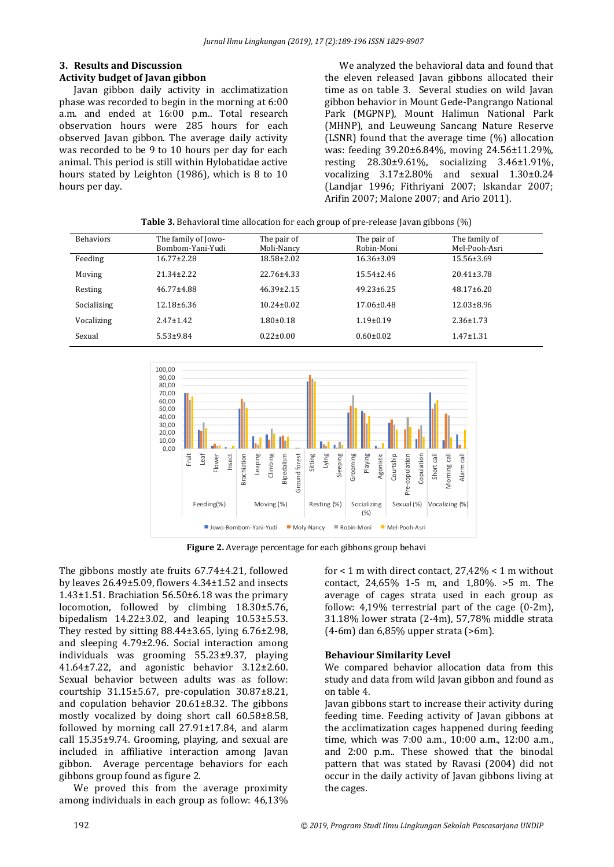#### **3. Results and Discussion Activity budget of Javan gibbon**

Javan gibbon daily activity in acclimatization phase was recorded to begin in the morning at 6:00 a.m. and ended at 16:00 p.m.. Total research observation hours were 285 hours for each observed Javan gibbon. The average daily activity was recorded to be 9 to 10 hours per day for each animal. This period is still within Hylobatidae active hours stated by Leighton (1986), which is 8 to 10 hours per day.

We analyzed the behavioral data and found that the eleven released Javan gibbons allocated their time as on table 3. Several studies on wild Javan gibbon behavior in Mount Gede-Pangrango National Park (MGPNP), Mount Halimun National Park (MHNP), and Leuweung Sancang Nature Reserve (LSNR) found that the average time (%) allocation was: feeding 39.20±6.84%, moving 24.56±11.29%, resting 28.30±9.61%, socializing 3.46±1.91%, vocalizing 3.17±2.80% and sexual 1.30±0.24 (Landjar 1996; Fithriyani 2007; Iskandar 2007; Arifin 2007; Malone 2007; and Ario 2011).

| <b>Behaviors</b> | The family of Jowo- | The pair of      | The pair of      | The family of    |
|------------------|---------------------|------------------|------------------|------------------|
|                  | Bombom-Yani-Yudi    | Moli-Nancy       | Robin-Moni       | Mel-Pooh-Asri    |
| Feeding          | $16.77 \pm 2.28$    | 18.58±2.02       | $16.36 \pm 3.09$ | $15.56 \pm 3.69$ |
| Moving           | $21.34 \pm 2.22$    | 22.76±4.33       | $15.54 \pm 2.46$ | $20.41 \pm 3.78$ |
| Resting          | $46.77 \pm 4.88$    | $46.39 \pm 2.15$ | $49.23 \pm 6.25$ | $48.17 \pm 6.20$ |
| Socializing      | $12.18 \pm 6.36$    | $10.24 \pm 0.02$ | $17.06 \pm 0.48$ | $12.03 \pm 8.96$ |
| Vocalizing       | $2.47 \pm 1.42$     | $1.80 \pm 0.18$  | $1.19 \pm 0.19$  | $2.36 \pm 1.73$  |
| Sexual           | $5.53 \pm 9.84$     | $0.22 \pm 0.00$  | $0.60 \pm 0.02$  | $1.47 \pm 1.31$  |

**Table 3.** Behavioral time allocation for each group of pre-release Javan gibbons (%)



**Figure 2.** Average percentage for each gibbons group behavi

The gibbons mostly ate fruits 67.74±4.21, followed by leaves 26.49±5.09, flowers 4.34±1.52 and insects 1.43 $\pm$ 1.51. Brachiation 56.50 $\pm$ 6.18 was the primary locomotion, followed by climbing 18.30±5.76, bipedalism 14.22±3.02, and leaping 10.53±5.53. They rested by sitting  $88.44\pm3.65$ , lying  $6.76\pm2.98$ , and sleeping 4.79±2.96. Social interaction among individuals was grooming 55.23±9.37, playing 41.64±7.22, and agonistic behavior 3.12±2.60. Sexual behavior between adults was as follow: courtship 31.15±5.67, pre-copulation 30.87±8.21, and copulation behavior 20.61±8.32. The gibbons mostly vocalized by doing short call 60.58±8.58, followed by morning call 27.91±17.84, and alarm call 15.35±9.74. Grooming, playing, and sexual are included in affiliative interaction among Javan gibbon. Average percentage behaviors for each gibbons group found as figure 2.

We proved this from the average proximity among individuals in each group as follow: 46,13%

for  $<$  1 m with direct contact, 27,42%  $<$  1 m without contact, 24,65% 1-5 m, and 1,80%. >5 m. The average of cages strata used in each group as follow:  $4.19\%$  terrestrial part of the cage  $(0-2m)$ , 31.18% lower strata (2-4m), 57,78% middle strata (4-6m) dan 6,85% upper strata (>6m).

#### **Behaviour Similarity Level**

We compared behavior allocation data from this study and data from wild Javan gibbon and found as on table 4.

Javan gibbons start to increase their activity during feeding time. Feeding activity of Javan gibbons at the acclimatization cages happened during feeding time, which was 7:00 a.m., 10:00 a.m., 12:00 a.m., and 2:00 p.m.. These showed that the binodal pattern that was stated by Ravasi (2004) did not occur in the daily activity of Javan gibbons living at the cages.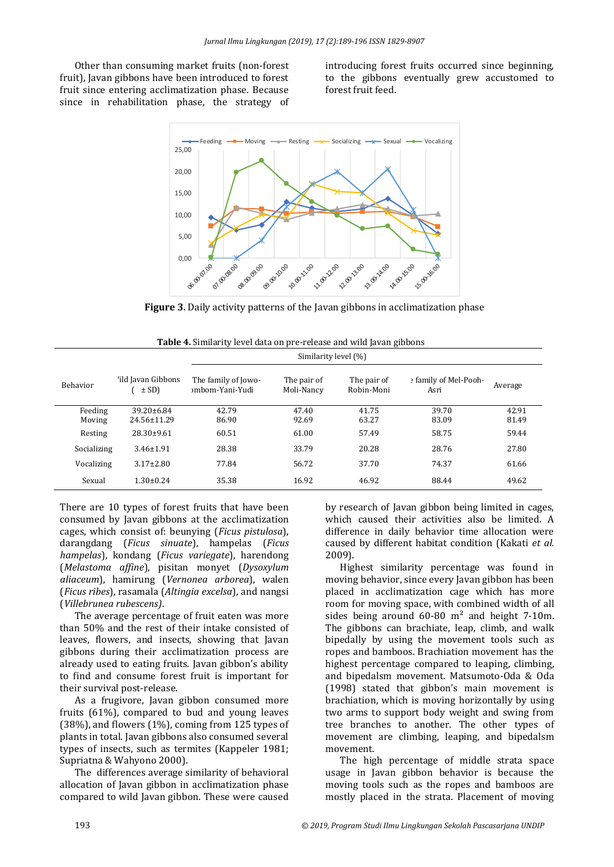Other than consuming market fruits (non-forest fruit), Javan gibbons have been introduced to forest fruit since entering acclimatization phase. Because since in rehabilitation phase, the strategy of introducing forest fruits occurred since beginning, to the gibbons eventually grew accustomed to forest fruit feed.



**Figure 3**. Daily activity patterns of the Javan gibbons in acclimatization phase

 $Similantralucl (0/3)$ 

|  |  |  | Table 4. Similarity level data on pre-release and wild Javan gibbons |  |
|--|--|--|----------------------------------------------------------------------|--|
|  |  |  |                                                                      |  |

| 'ild Javan Gibbons<br>The family of Jowo-<br>e family of Mel-Pooh-<br>The pair of<br>The pair of<br><b>Behavior</b><br>Average<br>$\pm$ SD)<br>Robin-Moni<br><sub>2</sub> mbom-Yani-Yudi<br>Moli-Nancy<br>Asri<br>Feeding<br>39.70<br>42.91<br>39.20±6.84<br>42.79<br>47.40<br>41.75<br>86.90<br>81.49<br>24.56±11.29<br>92.69<br>63.27<br>83.09<br>Moving<br>58.75<br>59.44<br>$28.30 \pm 9.61$<br>61.00<br>57.49<br>60.51<br>Resting<br>28.38<br>33.79<br>20.28<br>28.76<br>27.80<br>Socializing<br>$3.46 \pm 1.91$<br>74.37<br>$3.17 \pm 2.80$<br>77.84<br>56.72<br>37.70<br>61.66<br>Vocalizing<br>35.38<br>16.92<br>46.92<br>88.44<br>Sexual<br>$1.30 \pm 0.24$<br>49.62 |  | $J$ IIIIIIIaIIIIV IUVUI [70] |  |  |
|-------------------------------------------------------------------------------------------------------------------------------------------------------------------------------------------------------------------------------------------------------------------------------------------------------------------------------------------------------------------------------------------------------------------------------------------------------------------------------------------------------------------------------------------------------------------------------------------------------------------------------------------------------------------------------|--|------------------------------|--|--|
|                                                                                                                                                                                                                                                                                                                                                                                                                                                                                                                                                                                                                                                                               |  |                              |  |  |
|                                                                                                                                                                                                                                                                                                                                                                                                                                                                                                                                                                                                                                                                               |  |                              |  |  |
|                                                                                                                                                                                                                                                                                                                                                                                                                                                                                                                                                                                                                                                                               |  |                              |  |  |
|                                                                                                                                                                                                                                                                                                                                                                                                                                                                                                                                                                                                                                                                               |  |                              |  |  |
|                                                                                                                                                                                                                                                                                                                                                                                                                                                                                                                                                                                                                                                                               |  |                              |  |  |
|                                                                                                                                                                                                                                                                                                                                                                                                                                                                                                                                                                                                                                                                               |  |                              |  |  |
|                                                                                                                                                                                                                                                                                                                                                                                                                                                                                                                                                                                                                                                                               |  |                              |  |  |

There are 10 types of forest fruits that have been consumed by Javan gibbons at the acclimatization cages, which consist of: beunying (*Ficus pistulosa*), darangdang (*Ficus sinuate*), hampelas (*Ficus hampelas*), kondang (*Ficus variegate*), harendong (*Melastoma affine*), pisitan monyet (*Dysoxylum aliaceum*), hamirung (*Vernonea arborea*), walen (*Ficus ribes*), rasamala (*Altingia excelsa*), and nangsi (*Villebrunea rubescens)*.

The average percentage of fruit eaten was more than 50% and the rest of their intake consisted of leaves, flowers, and insects, showing that Javan gibbons during their acclimatization process are already used to eating fruits. Javan gibbon's ability to find and consume forest fruit is important for their survival post-release.

As a frugivore, Javan gibbon consumed more fruits (61%), compared to bud and young leaves (38%), and flowers (1%), coming from 125 types of plants in total. Javan gibbons also consumed several types of insects, such as termites (Kappeler 1981; Supriatna & Wahyono 2000).

The differences average similarity of behavioral allocation of Javan gibbon in acclimatization phase compared to wild Javan gibbon. These were caused

by research of Javan gibbon being limited in cages, which caused their activities also be limited. A difference in daily behavior time allocation were caused by different habitat condition (Kakati *et al.* 2009).

Highest similarity percentage was found in moving behavior, since every Javan gibbon has been placed in acclimatization cage which has more room for moving space, with combined width of all sides being around  $60-80$  m<sup>2</sup> and height 7-10m. The gibbons can brachiate, leap, climb, and walk bipedally by using the movement tools such as ropes and bamboos. Brachiation movement has the highest percentage compared to leaping, climbing, and bipedalsm movement. Matsumoto-Oda & Oda (1998) stated that gibbon's main movement is brachiation, which is moving horizontally by using two arms to support body weight and swing from tree branches to another. The other types of movement are climbing, leaping, and bipedalsm movement.

The high percentage of middle strata space usage in Javan gibbon behavior is because the moving tools such as the ropes and bamboos are mostly placed in the strata. Placement of moving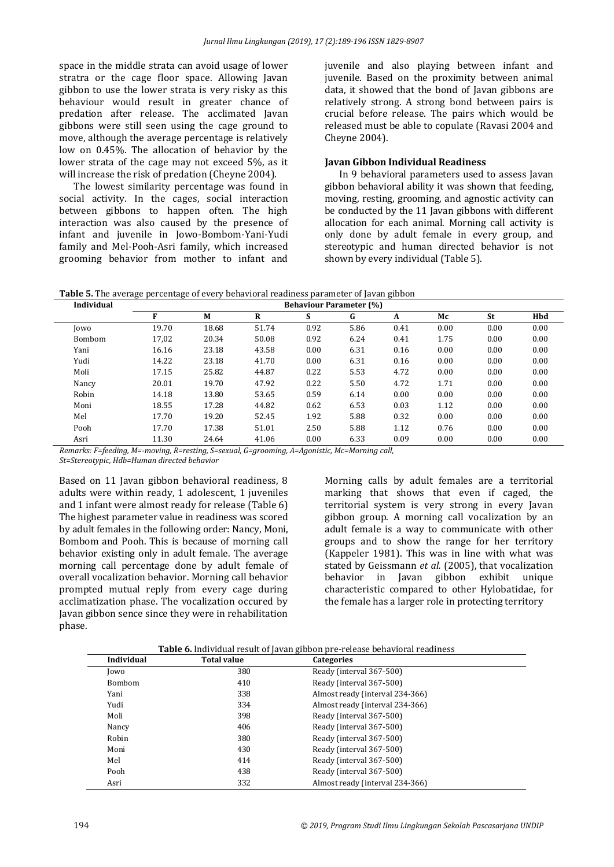space in the middle strata can avoid usage of lower stratra or the cage floor space. Allowing Javan gibbon to use the lower strata is very risky as this behaviour would result in greater chance of predation after release. The acclimated Javan gibbons were still seen using the cage ground to move, although the average percentage is relatively low on 0.45%. The allocation of behavior by the lower strata of the cage may not exceed 5%, as it will increase the risk of predation (Cheyne 2004).

The lowest similarity percentage was found in social activity. In the cages, social interaction between gibbons to happen often. The high interaction was also caused by the presence of infant and juvenile in Jowo-Bombom-Yani-Yudi family and Mel-Pooh-Asri family, which increased grooming behavior from mother to infant and

juvenile and also playing between infant and juvenile. Based on the proximity between animal data, it showed that the bond of Javan gibbons are relatively strong. A strong bond between pairs is crucial before release. The pairs which would be released must be able to copulate (Ravasi 2004 and Cheyne 2004).

#### **Javan Gibbon Individual Readiness**

In 9 behavioral parameters used to assess Javan gibbon behavioral ability it was shown that feeding, moving, resting, grooming, and agnostic activity can be conducted by the 11 Javan gibbons with different allocation for each animal. Morning call activity is only done by adult female in every group, and stereotypic and human directed behavior is not shown by every individual (Table 5).

**Table 5.** The average percentage of every behavioral readiness parameter of Javan gibbon

| F     | M     | R     | S    | G    | A    | Мc                             | St   | Hbd  |
|-------|-------|-------|------|------|------|--------------------------------|------|------|
| 19.70 | 18.68 | 51.74 | 0.92 | 5.86 | 0.41 | 0.00                           | 0.00 | 0.00 |
| 17,02 | 20.34 | 50.08 | 0.92 | 6.24 | 0.41 | 1.75                           | 0.00 | 0.00 |
| 16.16 | 23.18 | 43.58 | 0.00 | 6.31 | 0.16 | 0.00                           | 0.00 | 0.00 |
| 14.22 | 23.18 | 41.70 | 0.00 | 6.31 | 0.16 | 0.00                           | 0.00 | 0.00 |
| 17.15 | 25.82 | 44.87 | 0.22 | 5.53 | 4.72 | 0.00                           | 0.00 | 0.00 |
| 20.01 | 19.70 | 47.92 | 0.22 | 5.50 | 4.72 | 1.71                           | 0.00 | 0.00 |
| 14.18 | 13.80 | 53.65 | 0.59 | 6.14 | 0.00 | 0.00                           | 0.00 | 0.00 |
| 18.55 | 17.28 | 44.82 | 0.62 | 6.53 | 0.03 | 1.12                           | 0.00 | 0.00 |
| 17.70 | 19.20 | 52.45 | 1.92 | 5.88 | 0.32 | 0.00                           | 0.00 | 0.00 |
| 17.70 | 17.38 | 51.01 | 2.50 | 5.88 | 1.12 | 0.76                           | 0.00 | 0.00 |
| 11.30 | 24.64 | 41.06 | 0.00 | 6.33 | 0.09 | 0.00                           | 0.00 | 0.00 |
|       |       |       |      |      |      | <b>Behaviour Parameter (%)</b> |      |      |

*Remarks: F=feeding, M=-moving, R=resting, S=sexual, G=grooming, A=Agonistic, Mc=Morning call,* 

*St=Stereotypic, Hdb=Human directed behavior*

Based on 11 Javan gibbon behavioral readiness, 8 adults were within ready, 1 adolescent, 1 juveniles and 1 infant were almost ready for release (Table 6) The highest parameter value in readiness was scored by adult females in the following order: Nancy, Moni, Bombom and Pooh. This is because of morning call behavior existing only in adult female. The average morning call percentage done by adult female of overall vocalization behavior. Morning call behavior prompted mutual reply from every cage during acclimatization phase. The vocalization occured by Javan gibbon sence since they were in rehabilitation phase.

Morning calls by adult females are a territorial marking that shows that even if caged, the territorial system is very strong in every Javan gibbon group. A morning call vocalization by an adult female is a way to communicate with other groups and to show the range for her territory (Kappeler 1981). This was in line with what was stated by Geissmann *et al.* (2005), that vocalization behavior in Javan gibbon exhibit unique characteristic compared to other Hylobatidae, for the female has a larger role in protecting territory

**Table 6.** Individual result of Javan gibbon pre-release behavioral readiness

| Individual    | <b>Total value</b> | <b>Categories</b>               |  |
|---------------|--------------------|---------------------------------|--|
| Jowo          | 380                | Ready (interval 367-500)        |  |
| <b>Bombom</b> | 410                | Ready (interval 367-500)        |  |
| Yani          | 338                | Almost ready (interval 234-366) |  |
| Yudi          | 334                | Almost ready (interval 234-366) |  |
| Moli          | 398                | Ready (interval 367-500)        |  |
| Nancy         | 406                | Ready (interval 367-500)        |  |
| Robin         | 380                | Ready (interval 367-500)        |  |
| Moni          | 430                | Ready (interval 367-500)        |  |
| Mel           | 414                | Ready (interval 367-500)        |  |
| Pooh          | 438                | Ready (interval 367-500)        |  |
| Asri          | 332                | Almost ready (interval 234-366) |  |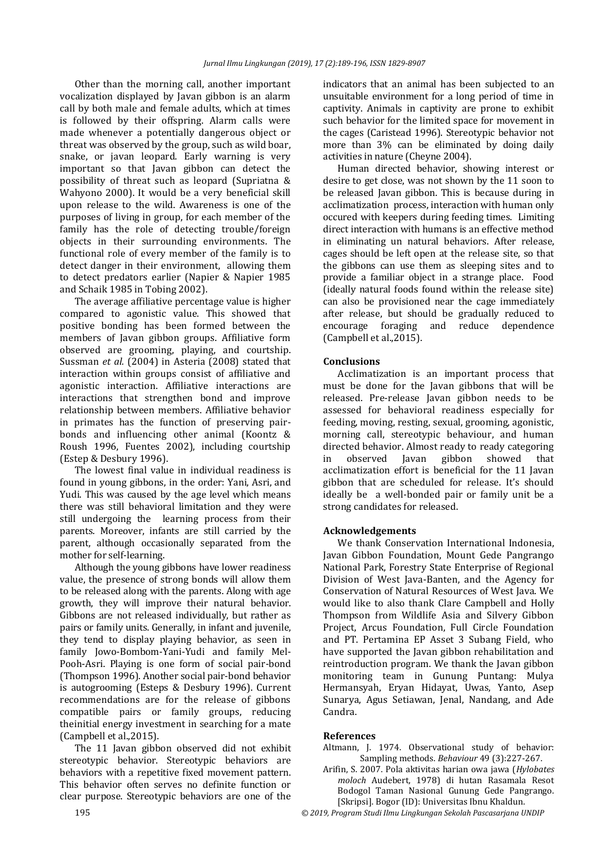Other than the morning call, another important vocalization displayed by Javan gibbon is an alarm call by both male and female adults, which at times is followed by their offspring. Alarm calls were made whenever a potentially dangerous object or threat was observed by the group, such as wild boar, snake, or javan leopard. Early warning is very important so that Javan gibbon can detect the possibility of threat such as leopard (Supriatna & Wahyono 2000). It would be a very beneficial skill upon release to the wild. Awareness is one of the purposes of living in group, for each member of the family has the role of detecting trouble/foreign objects in their surrounding environments. The functional role of every member of the family is to detect danger in their environment, allowing them to detect predators earlier (Napier & Napier 1985 and Schaik 1985 in Tobing 2002).

The average affiliative percentage value is higher compared to agonistic value. This showed that positive bonding has been formed between the members of Javan gibbon groups. Affiliative form observed are grooming, playing, and courtship. Sussman *et al.* (2004) in Asteria (2008) stated that interaction within groups consist of affiliative and agonistic interaction. Affiliative interactions are interactions that strengthen bond and improve relationship between members. Affiliative behavior in primates has the function of preserving pairbonds and influencing other animal (Koontz & Roush 1996, Fuentes 2002), including courtship (Estep & Desbury 1996).

The lowest final value in individual readiness is found in young gibbons, in the order: Yani, Asri, and Yudi. This was caused by the age level which means there was still behavioral limitation and they were still undergoing the learning process from their parents. Moreover, infants are still carried by the parent, although occasionally separated from the mother for self-learning.

Although the young gibbons have lower readiness value, the presence of strong bonds will allow them to be released along with the parents. Along with age growth, they will improve their natural behavior. Gibbons are not released individually, but rather as pairs or family units. Generally, in infant and juvenile, they tend to display playing behavior, as seen in family Jowo-Bombom-Yani-Yudi and family Mel-Pooh-Asri. Playing is one form of social pair-bond (Thompson 1996). Another social pair-bond behavior is autogrooming (Esteps & Desbury 1996). Current recommendations are for the release of gibbons compatible pairs or family groups, reducing theinitial energy investment in searching for a mate (Campbell et al.,2015).

The 11 Javan gibbon observed did not exhibit stereotypic behavior. Stereotypic behaviors are behaviors with a repetitive fixed movement pattern. This behavior often serves no definite function or clear purpose. Stereotypic behaviors are one of the

indicators that an animal has been subjected to an unsuitable environment for a long period of time in captivity. Animals in captivity are prone to exhibit such behavior for the limited space for movement in the cages (Caristead 1996). Stereotypic behavior not more than 3% can be eliminated by doing daily activities in nature (Cheyne 2004).

Human directed behavior, showing interest or desire to get close, was not shown by the 11 soon to be released Javan gibbon. This is because during in acclimatization process, interaction with human only occured with keepers during feeding times. Limiting direct interaction with humans is an effective method in eliminating un natural behaviors. After release, cages should be left open at the release site, so that the gibbons can use them as sleeping sites and to provide a familiar object in a strange place. Food (ideally natural foods found within the release site) can also be provisioned near the cage immediately after release, but should be gradually reduced to encourage foraging and reduce dependence (Campbell et al.,2015).

#### **Conclusions**

Acclimatization is an important process that must be done for the Javan gibbons that will be released. Pre-release Javan gibbon needs to be assessed for behavioral readiness especially for feeding, moving, resting, sexual, grooming, agonistic, morning call, stereotypic behaviour, and human directed behavior. Almost ready to ready categoring in observed Javan gibbon showed that acclimatization effort is beneficial for the 11 Javan gibbon that are scheduled for release. It's should ideally be a well-bonded pair or family unit be a strong candidates for released.

#### **Acknowledgements**

We thank Conservation International Indonesia, Javan Gibbon Foundation, Mount Gede Pangrango National Park, Forestry State Enterprise of Regional Division of West Java-Banten, and the Agency for Conservation of Natural Resources of West Java. We would like to also thank Clare Campbell and Holly Thompson from Wildlife Asia and Silvery Gibbon Project, Arcus Foundation, Full Circle Foundation and PT. Pertamina EP Asset 3 Subang Field, who have supported the Javan gibbon rehabilitation and reintroduction program. We thank the Javan gibbon monitoring team in Gunung Puntang: Mulya Hermansyah, Eryan Hidayat, Uwas, Yanto, Asep Sunarya, Agus Setiawan, Jenal, Nandang, and Ade Candra.

#### **References**

- Altmann, J. 1974. Observational study of behavior: Sampling methods. *Behaviour* 49 (3):227-267.
- Arifin, S. 2007. Pola aktivitas harian owa jawa (*Hylobates moloch* Audebert, 1978) di hutan Rasamala Resot Bodogol Taman Nasional Gunung Gede Pangrango. [Skripsi]. Bogor (ID): Universitas Ibnu Khaldun.

195 *© 2019, Program Studi Ilmu Lingkungan Sekolah Pascasarjana UNDIP*